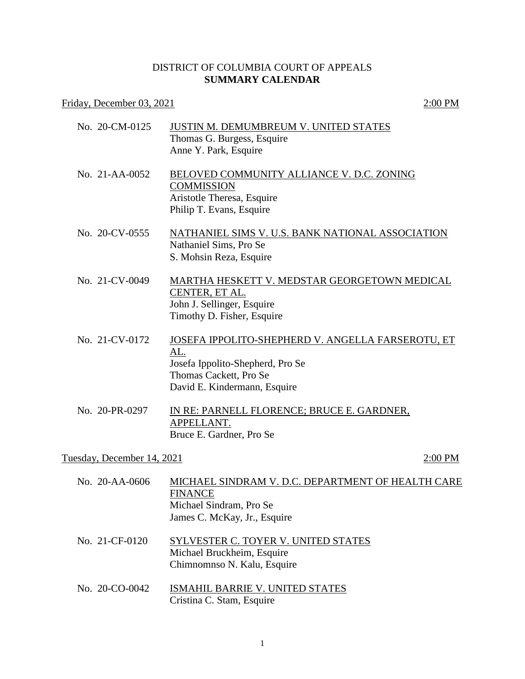## DISTRICT OF COLUMBIA COURT OF APPEALS **SUMMARY CALENDAR**

## Friday, December 03, 2021 2:00 PM

| No. 20-CM-0125             | <b>JUSTIN M. DEMUMBREUM V. UNITED STATES</b><br>Thomas G. Burgess, Esquire<br>Anne Y. Park, Esquire                                                    |
|----------------------------|--------------------------------------------------------------------------------------------------------------------------------------------------------|
| No. $21-AA-0052$           | BELOVED COMMUNITY ALLIANCE V. D.C. ZONING<br><b>COMMISSION</b><br>Aristotle Theresa, Esquire<br>Philip T. Evans, Esquire                               |
| No. 20-CV-0555             | NATHANIEL SIMS V. U.S. BANK NATIONAL ASSOCIATION<br>Nathaniel Sims, Pro Se<br>S. Mohsin Reza, Esquire                                                  |
| No. 21-CV-0049             | MARTHA HESKETT V. MEDSTAR GEORGETOWN MEDICAL<br>CENTER, ET AL.<br>John J. Sellinger, Esquire<br>Timothy D. Fisher, Esquire                             |
| No. 21-CV-0172             | JOSEFA IPPOLITO-SHEPHERD V. ANGELLA FARSEROTU, ET<br>AL.<br>Josefa Ippolito-Shepherd, Pro Se<br>Thomas Cackett, Pro Se<br>David E. Kindermann, Esquire |
| No. 20-PR-0297             | IN RE: PARNELL FLORENCE; BRUCE E. GARDNER,<br>APPELLANT.<br>Bruce E. Gardner, Pro Se                                                                   |
| Tuesday, December 14, 2021 | 2:00 PM                                                                                                                                                |
| No. 20-AA-0606             | MICHAEL SINDRAM V. D.C. DEPARTMENT OF HEALTH CARE<br><b>FINANCE</b><br>Michael Sindram, Pro Se                                                         |

- James C. McKay, Jr., Esquire
- No. 21-CF-0120 SYLVESTER C. TOYER V. UNITED STATES Michael Bruckheim, Esquire Chimnomnso N. Kalu, Esquire
- No. 20-CO-0042 ISMAHIL BARRIE V. UNITED STATES Cristina C. Stam, Esquire